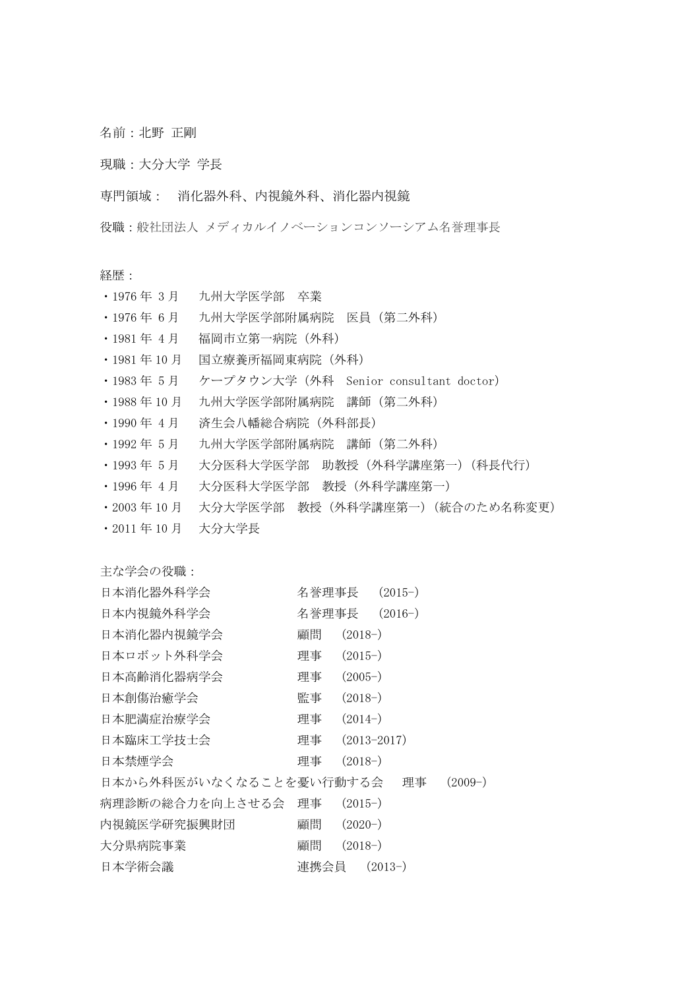名前:北野 正剛

現職:大分大学 学長

専門領域: 消化器外科、内視鏡外科、消化器内視鏡

役職:般社団法人 メディカルイノベーションコンソーシアム名誉理事長

経歴:

- ・1976 年 3 月 九州大学医学部 卒業
- ・1976 年 6 月 九州大学医学部附属病院 医員(第二外科)
- ・1981 年 4月 福岡市立第一病院(外科)
- ・1981 年 10 月 国立療養所福岡東病院(外科)
- ・1983 年 5 月 ケープタウン大学(外科 Senior consultant doctor)
- ・1988 年 10 月 九州大学医学部附属病院 講師(第二外科)
- ・1990 年 4 月 済生会八幡総合病院(外科部長)
- ・1992 年 5 月 九州大学医学部附属病院 講師(第二外科)
- ・1993 年 5 月 大分医科大学医学部 助教授(外科学講座第一)(科長代行)
- ・1996 年 4 月 大分医科大学医学部 教授(外科学講座第一)
- ・2003 年 10 月 大分大学医学部 教授(外科学講座第一)(統合のため名称変更)
- ・2011 年 10 月 大分大学長

主な学会の役職:

| 日本消化器外科学会               | 名誉理事長 | $(2015-)$       |           |
|-------------------------|-------|-----------------|-----------|
| 日本内視鏡外科学会               | 名誉理事長 | $(2016-)$       |           |
| 日本消化器内視鏡学会              | 顧問    | $(2018-)$       |           |
| 日本ロボット外科学会              | 理事    | $(2015-)$       |           |
| 日本高齢消化器病学会              | 理事    | $(2005-)$       |           |
| 日本創傷治癒学会                | 監事    | $(2018-)$       |           |
| 日本肥満症治療学会               | 理事    | $(2014-)$       |           |
| 日本臨床工学技士会               | 理事    | $(2013 - 2017)$ |           |
| 日本禁煙学会                  | 理事    | $(2018-)$       |           |
| 日本から外科医がいなくなることを憂い行動する会 |       | 理事              | $(2009-)$ |
| 病理診断の総合力を向上させる会         | 理事    | $(2015-)$       |           |
| 内視鏡医学研究振興財団             | 顧問    | $(2020-)$       |           |
| 大分県病院事業                 | 顧問    | $(2018-)$       |           |
| 日本学術会議                  | 連携会員  | $(2013-)$       |           |